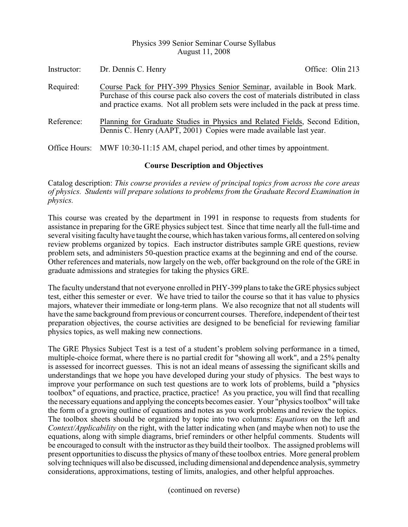## Physics 399 Senior Seminar Course Syllabus August 11, 2008

| Instructor: | Dr. Dennis C. Henry                                                                                                                                                                                                                                 | Office: Olin 213 |
|-------------|-----------------------------------------------------------------------------------------------------------------------------------------------------------------------------------------------------------------------------------------------------|------------------|
| Required:   | Course Pack for PHY-399 Physics Senior Seminar, available in Book Mark.<br>Purchase of this course pack also covers the cost of materials distributed in class<br>and practice exams. Not all problem sets were included in the pack at press time. |                  |
| Reference:  | Planning for Graduate Studies in Physics and Related Fields, Second Edition,<br>Dennis C. Henry (AAPT, 2001) Copies were made available last year.                                                                                                  |                  |
|             | Office Hours: MWF 10:30-11:15 AM, chapel period, and other times by appointment.                                                                                                                                                                    |                  |

## **Course Description and Objectives**

Catalog description: *This course provides a review of principal topics from across the core areas of physics. Students will prepare solutions to problems from the Graduate Record Examination in physics.*

This course was created by the department in 1991 in response to requests from students for assistance in preparing for the GRE physics subject test. Since that time nearly all the full-time and several visiting facultyhave taught the course, which has taken various forms, all centered on solving review problems organized by topics. Each instructor distributes sample GRE questions, review problem sets, and administers 50-question practice exams at the beginning and end of the course. Other references and materials, now largely on the web, offer background on the role of the GRE in graduate admissions and strategies for taking the physics GRE.

The faculty understand that not everyone enrolled in PHY-399 plans to take the GRE physics subject test, either this semester or ever. We have tried to tailor the course so that it has value to physics majors, whatever their immediate or long-term plans. We also recognize that not all students will have the same background from previous or concurrent courses. Therefore, independent of their test preparation objectives, the course activities are designed to be beneficial for reviewing familiar physics topics, as well making new connections.

The GRE Physics Subject Test is a test of a student's problem solving performance in a timed, multiple-choice format, where there is no partial credit for "showing all work", and a 25% penalty is assessed for incorrect guesses. This is not an ideal means of assessing the significant skills and understandings that we hope you have developed during your study of physics. The best ways to improve your performance on such test questions are to work lots of problems, build a "physics toolbox" of equations, and practice, practice, practice! As you practice, you will find that recalling the necessary equations and applying the concepts becomes easier. Your "physics toolbox" will take the form of a growing outline of equations and notes as you work problems and review the topics. The toolbox sheets should be organized by topic into two columns: *Equations* on the left and *Context/Applicability* on the right, with the latter indicating when (and maybe when not) to use the equations, along with simple diagrams, brief reminders or other helpful comments. Students will be encouraged to consult with the instructor as they build their toolbox. The assigned problems will present opportunities to discuss the physics of many of these toolbox entries. More general problem solving techniques will also be discussed, including dimensional and dependence analysis, symmetry considerations, approximations, testing of limits, analogies, and other helpful approaches.

(continued on reverse)